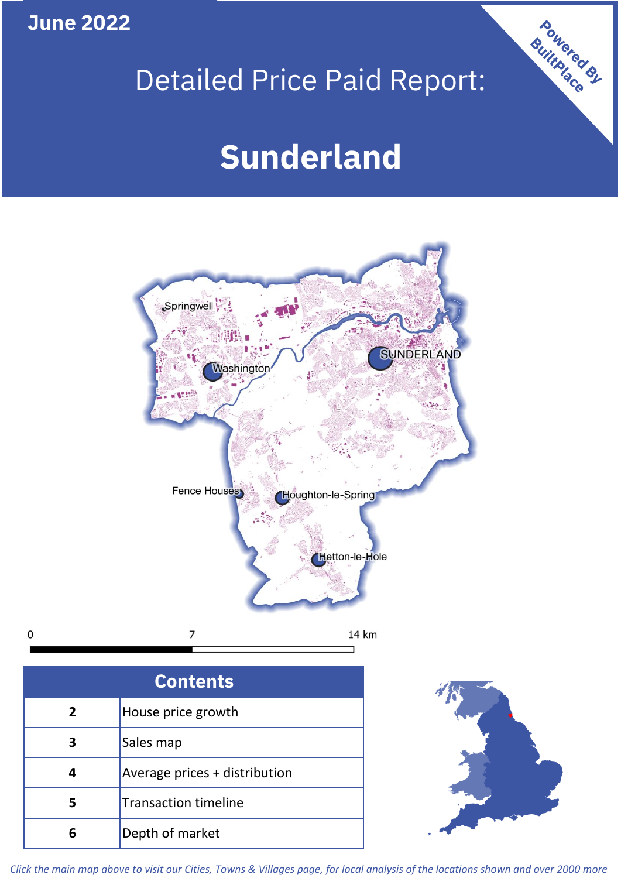**June 2022**

## Detailed Price Paid Report:

# **Sunderland**



**5** Average prices + distribution Transaction timeline **6** Depth of market

**4**

 $\mathbf 0$ 



Powered By

*Click the main map above to visit our Cities, Towns & Villages page, for local analysis of the locations shown and over 2000 more*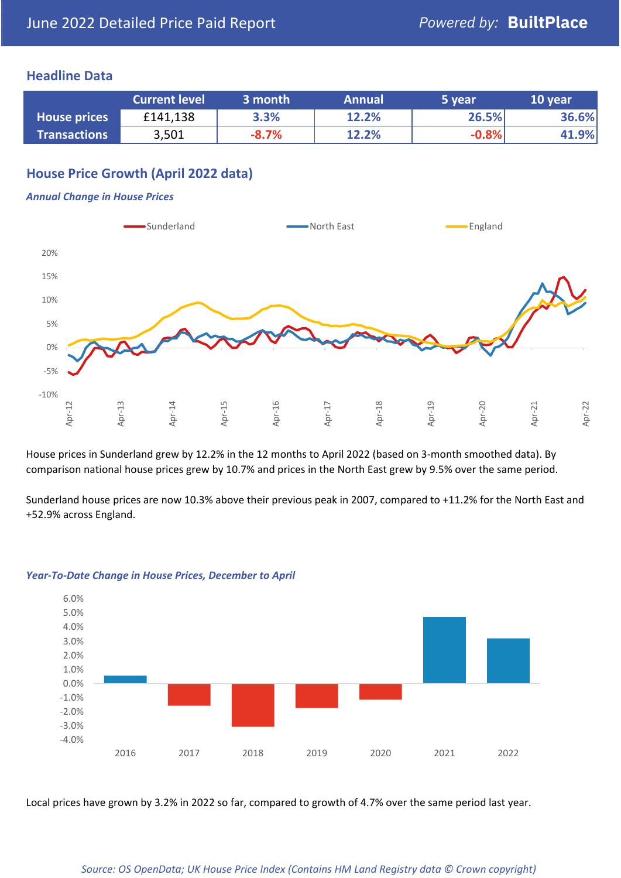## **Headline Data**

|                     | <b>Current level</b> | 3 month | <b>Annual</b> | 5 year  | 10 year |
|---------------------|----------------------|---------|---------------|---------|---------|
| <b>House prices</b> | £141,138             | 3.3%    | 12.2%         | 26.5%   | 36.6%   |
| <b>Transactions</b> | 3,501                | $-8.7%$ | 12.2%         | $-0.8%$ | 41.9%   |

## **House Price Growth (April 2022 data)**

#### *Annual Change in House Prices*



House prices in Sunderland grew by 12.2% in the 12 months to April 2022 (based on 3-month smoothed data). By comparison national house prices grew by 10.7% and prices in the North East grew by 9.5% over the same period.

Sunderland house prices are now 10.3% above their previous peak in 2007, compared to +11.2% for the North East and +52.9% across England.



#### *Year-To-Date Change in House Prices, December to April*

Local prices have grown by 3.2% in 2022 so far, compared to growth of 4.7% over the same period last year.

#### *Source: OS OpenData; UK House Price Index (Contains HM Land Registry data © Crown copyright)*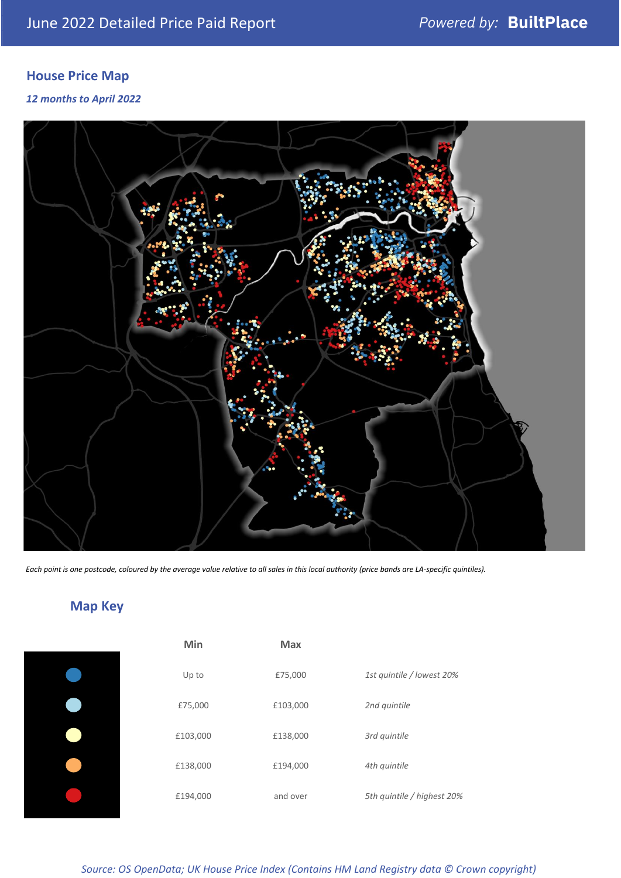## **House Price Map**

### *12 months to April 2022*



*Each point is one postcode, coloured by the average value relative to all sales in this local authority (price bands are LA-specific quintiles).*

## **Map Key**

| Min      | Max      |                            |
|----------|----------|----------------------------|
| Up to    | £75,000  | 1st quintile / lowest 20%  |
| £75,000  | £103,000 | 2nd quintile               |
| £103,000 | £138,000 | 3rd quintile               |
| £138,000 | £194,000 | 4th quintile               |
| £194,000 | and over | 5th quintile / highest 20% |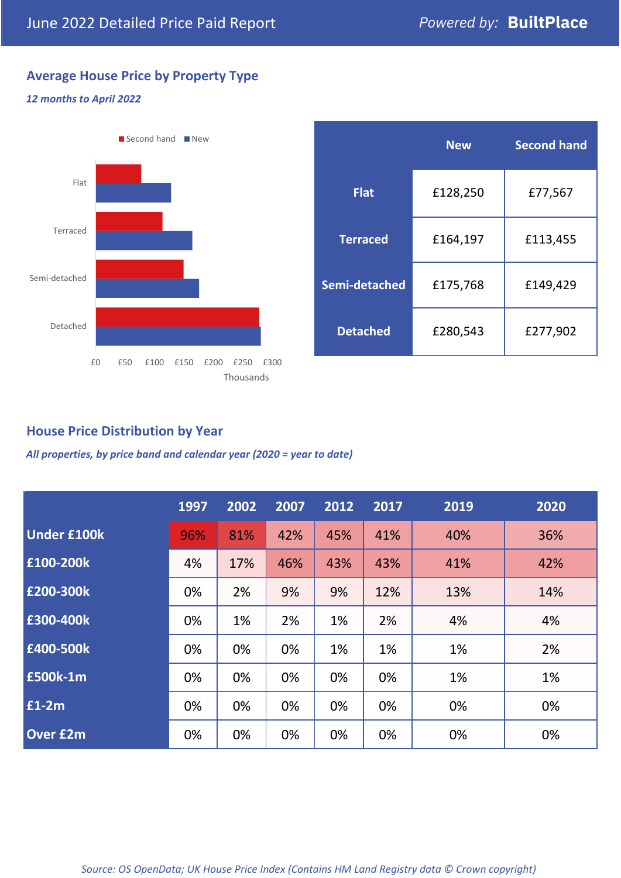## **Average House Price by Property Type**

#### *12 months to April 2022*



|                 | <b>New</b> | <b>Second hand</b> |  |  |
|-----------------|------------|--------------------|--|--|
| <b>Flat</b>     | £128,250   | £77,567            |  |  |
| <b>Terraced</b> | £164,197   | £113,455           |  |  |
| Semi-detached   | £175,768   | £149,429           |  |  |
| <b>Detached</b> | £280,543   | £277,902           |  |  |

## **House Price Distribution by Year**

*All properties, by price band and calendar year (2020 = year to date)*

|                    | 1997 | 2002 | 2007 | 2012 | 2017 | 2019 | 2020 |
|--------------------|------|------|------|------|------|------|------|
| <b>Under £100k</b> | 96%  | 81%  | 42%  | 45%  | 41%  | 40%  | 36%  |
| £100-200k          | 4%   | 17%  | 46%  | 43%  | 43%  | 41%  | 42%  |
| E200-300k          | 0%   | 2%   | 9%   | 9%   | 12%  | 13%  | 14%  |
| £300-400k          | 0%   | 1%   | 2%   | 1%   | 2%   | 4%   | 4%   |
| £400-500k          | 0%   | 0%   | 0%   | 1%   | 1%   | 1%   | 2%   |
| <b>£500k-1m</b>    | 0%   | 0%   | 0%   | 0%   | 0%   | 1%   | 1%   |
| £1-2m              | 0%   | 0%   | 0%   | 0%   | 0%   | 0%   | 0%   |
| <b>Over £2m</b>    | 0%   | 0%   | 0%   | 0%   | 0%   | 0%   | 0%   |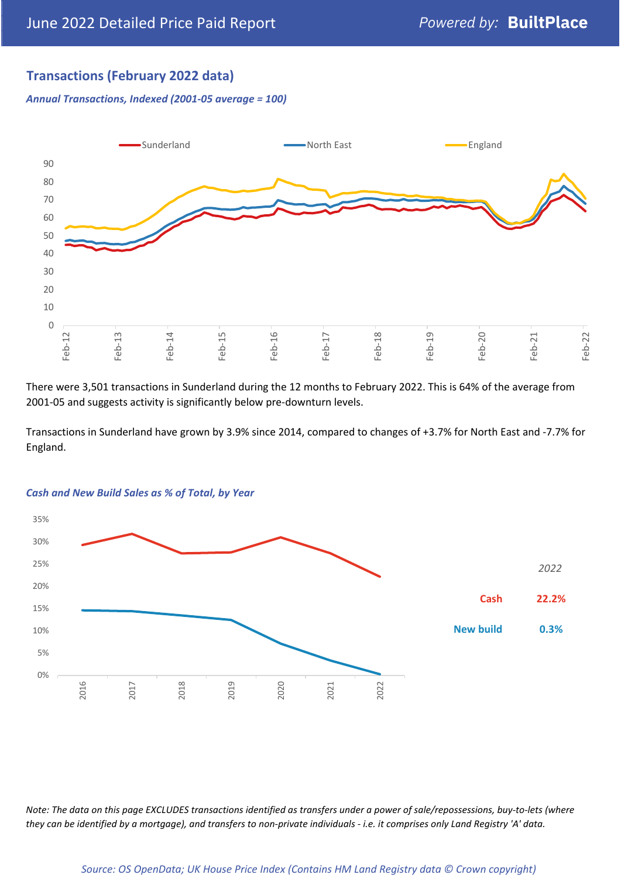## **Transactions (February 2022 data)**

*Annual Transactions, Indexed (2001-05 average = 100)*



There were 3,501 transactions in Sunderland during the 12 months to February 2022. This is 64% of the average from 2001-05 and suggests activity is significantly below pre-downturn levels.

Transactions in Sunderland have grown by 3.9% since 2014, compared to changes of +3.7% for North East and -7.7% for England.



#### *Cash and New Build Sales as % of Total, by Year*

*Note: The data on this page EXCLUDES transactions identified as transfers under a power of sale/repossessions, buy-to-lets (where they can be identified by a mortgage), and transfers to non-private individuals - i.e. it comprises only Land Registry 'A' data.*